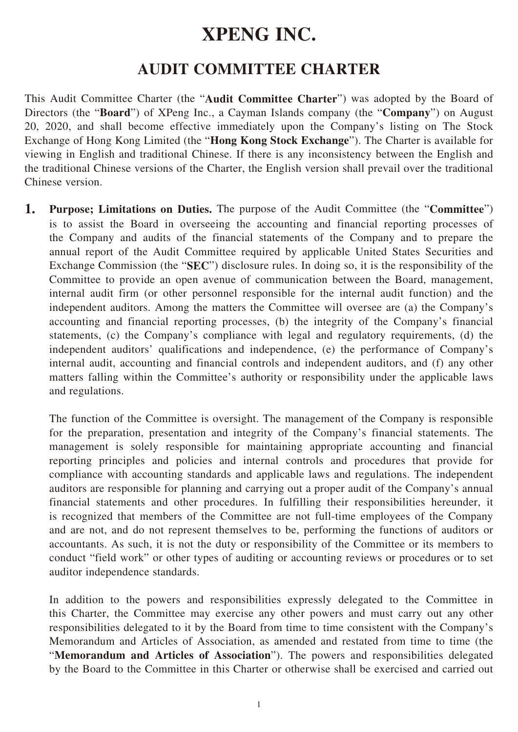# **XPENG INC.**

### **AUDIT COMMITTEE CHARTER**

This Audit Committee Charter (the "**Audit Committee Charter**") was adopted by the Board of Directors (the "**Board**") of XPeng Inc., a Cayman Islands company (the "**Company**") on August 20, 2020, and shall become effective immediately upon the Company's listing on The Stock Exchange of Hong Kong Limited (the "**Hong Kong Stock Exchange**"). The Charter is available for viewing in English and traditional Chinese. If there is any inconsistency between the English and the traditional Chinese versions of the Charter, the English version shall prevail over the traditional Chinese version.

**1. Purpose; Limitations on Duties.** The purpose of the Audit Committee (the "**Committee**") is to assist the Board in overseeing the accounting and financial reporting processes of the Company and audits of the financial statements of the Company and to prepare the annual report of the Audit Committee required by applicable United States Securities and Exchange Commission (the "**SEC**") disclosure rules. In doing so, it is the responsibility of the Committee to provide an open avenue of communication between the Board, management, internal audit firm (or other personnel responsible for the internal audit function) and the independent auditors. Among the matters the Committee will oversee are (a) the Company's accounting and financial reporting processes, (b) the integrity of the Company's financial statements, (c) the Company's compliance with legal and regulatory requirements, (d) the independent auditors' qualifications and independence, (e) the performance of Company's internal audit, accounting and financial controls and independent auditors, and (f) any other matters falling within the Committee's authority or responsibility under the applicable laws and regulations.

The function of the Committee is oversight. The management of the Company is responsible for the preparation, presentation and integrity of the Company's financial statements. The management is solely responsible for maintaining appropriate accounting and financial reporting principles and policies and internal controls and procedures that provide for compliance with accounting standards and applicable laws and regulations. The independent auditors are responsible for planning and carrying out a proper audit of the Company's annual financial statements and other procedures. In fulfilling their responsibilities hereunder, it is recognized that members of the Committee are not full-time employees of the Company and are not, and do not represent themselves to be, performing the functions of auditors or accountants. As such, it is not the duty or responsibility of the Committee or its members to conduct "field work" or other types of auditing or accounting reviews or procedures or to set auditor independence standards.

In addition to the powers and responsibilities expressly delegated to the Committee in this Charter, the Committee may exercise any other powers and must carry out any other responsibilities delegated to it by the Board from time to time consistent with the Company's Memorandum and Articles of Association, as amended and restated from time to time (the "**Memorandum and Articles of Association**"). The powers and responsibilities delegated by the Board to the Committee in this Charter or otherwise shall be exercised and carried out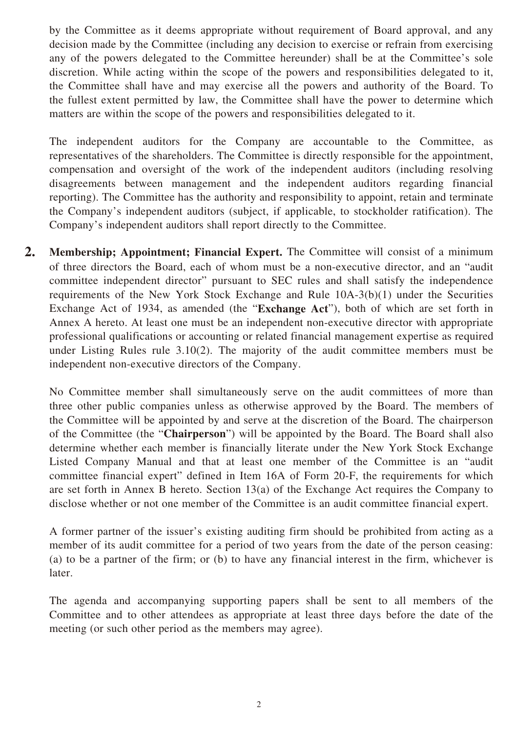by the Committee as it deems appropriate without requirement of Board approval, and any decision made by the Committee (including any decision to exercise or refrain from exercising any of the powers delegated to the Committee hereunder) shall be at the Committee's sole discretion. While acting within the scope of the powers and responsibilities delegated to it, the Committee shall have and may exercise all the powers and authority of the Board. To the fullest extent permitted by law, the Committee shall have the power to determine which matters are within the scope of the powers and responsibilities delegated to it.

The independent auditors for the Company are accountable to the Committee, as representatives of the shareholders. The Committee is directly responsible for the appointment, compensation and oversight of the work of the independent auditors (including resolving disagreements between management and the independent auditors regarding financial reporting). The Committee has the authority and responsibility to appoint, retain and terminate the Company's independent auditors (subject, if applicable, to stockholder ratification). The Company's independent auditors shall report directly to the Committee.

**2. Membership; Appointment; Financial Expert.** The Committee will consist of a minimum of three directors the Board, each of whom must be a non-executive director, and an "audit committee independent director" pursuant to SEC rules and shall satisfy the independence requirements of the New York Stock Exchange and Rule 10A-3(b)(1) under the Securities Exchange Act of 1934, as amended (the "**Exchange Act**"), both of which are set forth in Annex A hereto. At least one must be an independent non-executive director with appropriate professional qualifications or accounting or related financial management expertise as required under Listing Rules rule 3.10(2). The majority of the audit committee members must be independent non-executive directors of the Company.

No Committee member shall simultaneously serve on the audit committees of more than three other public companies unless as otherwise approved by the Board. The members of the Committee will be appointed by and serve at the discretion of the Board. The chairperson of the Committee (the "**Chairperson**") will be appointed by the Board. The Board shall also determine whether each member is financially literate under the New York Stock Exchange Listed Company Manual and that at least one member of the Committee is an "audit committee financial expert" defined in Item 16A of Form 20-F, the requirements for which are set forth in Annex B hereto. Section 13(a) of the Exchange Act requires the Company to disclose whether or not one member of the Committee is an audit committee financial expert.

A former partner of the issuer's existing auditing firm should be prohibited from acting as a member of its audit committee for a period of two years from the date of the person ceasing: (a) to be a partner of the firm; or (b) to have any financial interest in the firm, whichever is later.

The agenda and accompanying supporting papers shall be sent to all members of the Committee and to other attendees as appropriate at least three days before the date of the meeting (or such other period as the members may agree).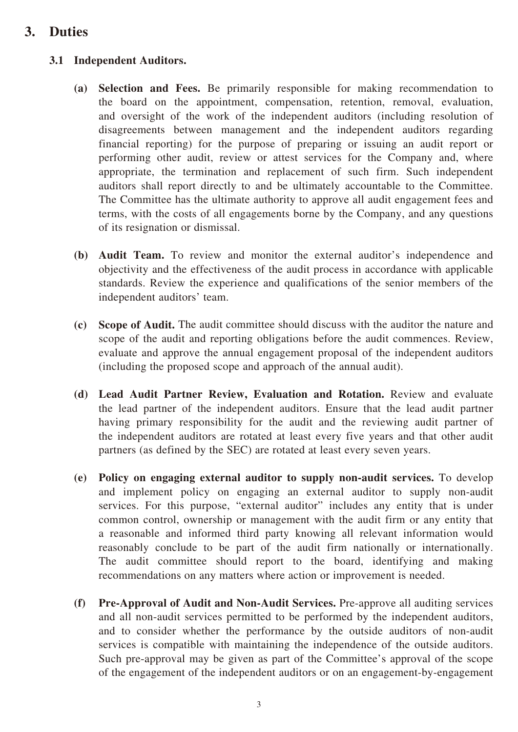### **3. Duties**

#### **3.1 Independent Auditors.**

- **(a) Selection and Fees.** Be primarily responsible for making recommendation to the board on the appointment, compensation, retention, removal, evaluation, and oversight of the work of the independent auditors (including resolution of disagreements between management and the independent auditors regarding financial reporting) for the purpose of preparing or issuing an audit report or performing other audit, review or attest services for the Company and, where appropriate, the termination and replacement of such firm. Such independent auditors shall report directly to and be ultimately accountable to the Committee. The Committee has the ultimate authority to approve all audit engagement fees and terms, with the costs of all engagements borne by the Company, and any questions of its resignation or dismissal.
- **(b) Audit Team.** To review and monitor the external auditor's independence and objectivity and the effectiveness of the audit process in accordance with applicable standards. Review the experience and qualifications of the senior members of the independent auditors' team.
- **(c) Scope of Audit.** The audit committee should discuss with the auditor the nature and scope of the audit and reporting obligations before the audit commences. Review, evaluate and approve the annual engagement proposal of the independent auditors (including the proposed scope and approach of the annual audit).
- **(d) Lead Audit Partner Review, Evaluation and Rotation.** Review and evaluate the lead partner of the independent auditors. Ensure that the lead audit partner having primary responsibility for the audit and the reviewing audit partner of the independent auditors are rotated at least every five years and that other audit partners (as defined by the SEC) are rotated at least every seven years.
- **(e) Policy on engaging external auditor to supply non-audit services.** To develop and implement policy on engaging an external auditor to supply non-audit services. For this purpose, "external auditor" includes any entity that is under common control, ownership or management with the audit firm or any entity that a reasonable and informed third party knowing all relevant information would reasonably conclude to be part of the audit firm nationally or internationally. The audit committee should report to the board, identifying and making recommendations on any matters where action or improvement is needed.
- **(f) Pre-Approval of Audit and Non-Audit Services.** Pre-approve all auditing services and all non-audit services permitted to be performed by the independent auditors, and to consider whether the performance by the outside auditors of non-audit services is compatible with maintaining the independence of the outside auditors. Such pre-approval may be given as part of the Committee's approval of the scope of the engagement of the independent auditors or on an engagement-by-engagement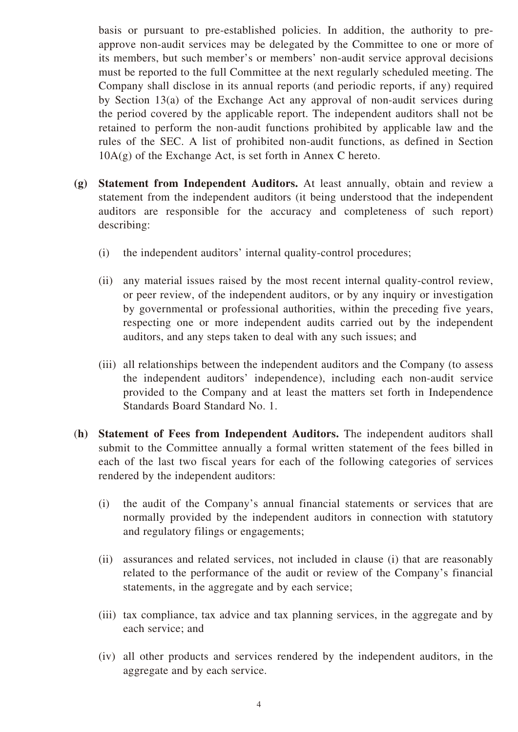basis or pursuant to pre-established policies. In addition, the authority to preapprove non-audit services may be delegated by the Committee to one or more of its members, but such member's or members' non-audit service approval decisions must be reported to the full Committee at the next regularly scheduled meeting. The Company shall disclose in its annual reports (and periodic reports, if any) required by Section 13(a) of the Exchange Act any approval of non-audit services during the period covered by the applicable report. The independent auditors shall not be retained to perform the non-audit functions prohibited by applicable law and the rules of the SEC. A list of prohibited non-audit functions, as defined in Section 10A(g) of the Exchange Act, is set forth in Annex C hereto.

- **(g) Statement from Independent Auditors.** At least annually, obtain and review a statement from the independent auditors (it being understood that the independent auditors are responsible for the accuracy and completeness of such report) describing:
	- (i) the independent auditors' internal quality-control procedures;
	- (ii) any material issues raised by the most recent internal quality-control review, or peer review, of the independent auditors, or by any inquiry or investigation by governmental or professional authorities, within the preceding five years, respecting one or more independent audits carried out by the independent auditors, and any steps taken to deal with any such issues; and
	- (iii) all relationships between the independent auditors and the Company (to assess the independent auditors' independence), including each non-audit service provided to the Company and at least the matters set forth in Independence Standards Board Standard No. 1.
- (**h) Statement of Fees from Independent Auditors.** The independent auditors shall submit to the Committee annually a formal written statement of the fees billed in each of the last two fiscal years for each of the following categories of services rendered by the independent auditors:
	- (i) the audit of the Company's annual financial statements or services that are normally provided by the independent auditors in connection with statutory and regulatory filings or engagements;
	- (ii) assurances and related services, not included in clause (i) that are reasonably related to the performance of the audit or review of the Company's financial statements, in the aggregate and by each service;
	- (iii) tax compliance, tax advice and tax planning services, in the aggregate and by each service; and
	- (iv) all other products and services rendered by the independent auditors, in the aggregate and by each service.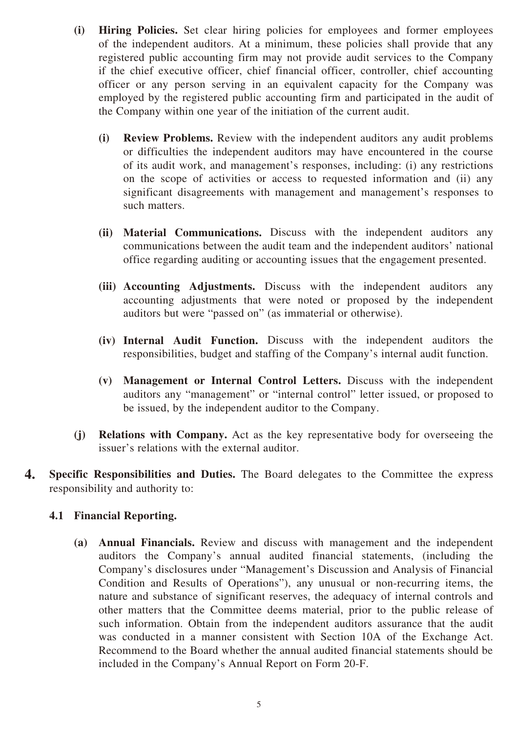- **(i) Hiring Policies.** Set clear hiring policies for employees and former employees of the independent auditors. At a minimum, these policies shall provide that any registered public accounting firm may not provide audit services to the Company if the chief executive officer, chief financial officer, controller, chief accounting officer or any person serving in an equivalent capacity for the Company was employed by the registered public accounting firm and participated in the audit of the Company within one year of the initiation of the current audit.
	- **(i) Review Problems.** Review with the independent auditors any audit problems or difficulties the independent auditors may have encountered in the course of its audit work, and management's responses, including: (i) any restrictions on the scope of activities or access to requested information and (ii) any significant disagreements with management and management's responses to such matters.
	- **(ii) Material Communications.** Discuss with the independent auditors any communications between the audit team and the independent auditors' national office regarding auditing or accounting issues that the engagement presented.
	- **(iii) Accounting Adjustments.** Discuss with the independent auditors any accounting adjustments that were noted or proposed by the independent auditors but were "passed on" (as immaterial or otherwise).
	- **(iv) Internal Audit Function.** Discuss with the independent auditors the responsibilities, budget and staffing of the Company's internal audit function.
	- **(v) Management or Internal Control Letters.** Discuss with the independent auditors any "management" or "internal control" letter issued, or proposed to be issued, by the independent auditor to the Company.
- **(j) Relations with Company.** Act as the key representative body for overseeing the issuer's relations with the external auditor.
- **4. Specific Responsibilities and Duties.** The Board delegates to the Committee the express responsibility and authority to:

#### **4.1 Financial Reporting.**

**(a) Annual Financials.** Review and discuss with management and the independent auditors the Company's annual audited financial statements, (including the Company's disclosures under "Management's Discussion and Analysis of Financial Condition and Results of Operations"), any unusual or non-recurring items, the nature and substance of significant reserves, the adequacy of internal controls and other matters that the Committee deems material, prior to the public release of such information. Obtain from the independent auditors assurance that the audit was conducted in a manner consistent with Section 10A of the Exchange Act. Recommend to the Board whether the annual audited financial statements should be included in the Company's Annual Report on Form 20-F.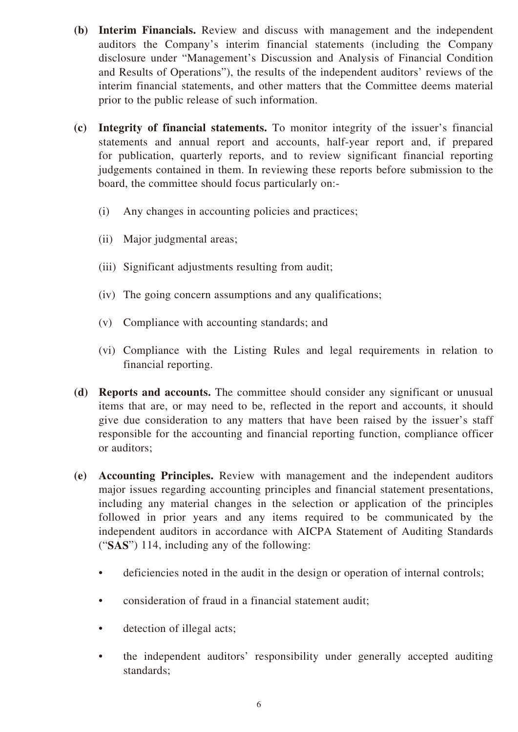- **(b) Interim Financials.** Review and discuss with management and the independent auditors the Company's interim financial statements (including the Company disclosure under "Management's Discussion and Analysis of Financial Condition and Results of Operations"), the results of the independent auditors' reviews of the interim financial statements, and other matters that the Committee deems material prior to the public release of such information.
- **(c) Integrity of financial statements.** To monitor integrity of the issuer's financial statements and annual report and accounts, half-year report and, if prepared for publication, quarterly reports, and to review significant financial reporting judgements contained in them. In reviewing these reports before submission to the board, the committee should focus particularly on:-
	- (i) Any changes in accounting policies and practices;
	- (ii) Major judgmental areas;
	- (iii) Significant adjustments resulting from audit;
	- (iv) The going concern assumptions and any qualifications;
	- (v) Compliance with accounting standards; and
	- (vi) Compliance with the Listing Rules and legal requirements in relation to financial reporting.
- **(d) Reports and accounts.** The committee should consider any significant or unusual items that are, or may need to be, reflected in the report and accounts, it should give due consideration to any matters that have been raised by the issuer's staff responsible for the accounting and financial reporting function, compliance officer or auditors;
- **(e) Accounting Principles.** Review with management and the independent auditors major issues regarding accounting principles and financial statement presentations, including any material changes in the selection or application of the principles followed in prior years and any items required to be communicated by the independent auditors in accordance with AICPA Statement of Auditing Standards ("**SAS**") 114, including any of the following:
	- deficiencies noted in the audit in the design or operation of internal controls;
	- consideration of fraud in a financial statement audit;
	- detection of illegal acts;
	- the independent auditors' responsibility under generally accepted auditing standards;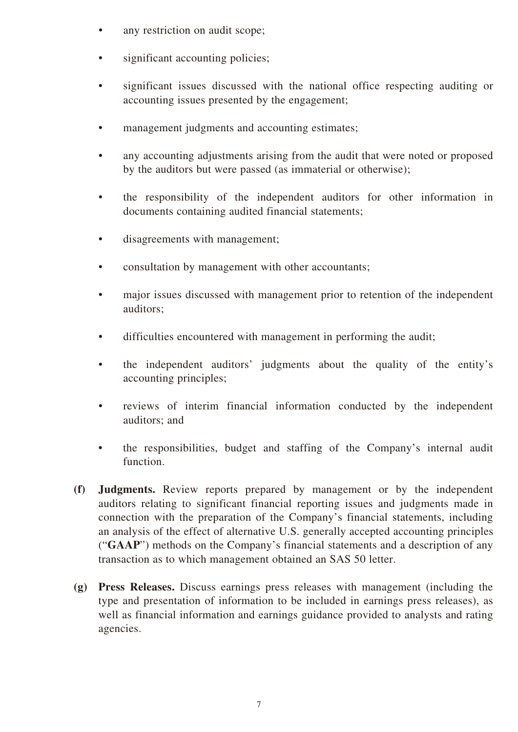- any restriction on audit scope;
- significant accounting policies;
- significant issues discussed with the national office respecting auditing or accounting issues presented by the engagement;
- management judgments and accounting estimates;
- any accounting adjustments arising from the audit that were noted or proposed by the auditors but were passed (as immaterial or otherwise);
- the responsibility of the independent auditors for other information in documents containing audited financial statements;
- disagreements with management;
- consultation by management with other accountants;
- major issues discussed with management prior to retention of the independent auditors;
- difficulties encountered with management in performing the audit;
- the independent auditors' judgments about the quality of the entity's accounting principles;
- reviews of interim financial information conducted by the independent auditors; and
- the responsibilities, budget and staffing of the Company's internal audit function.
- **(f) Judgments.** Review reports prepared by management or by the independent auditors relating to significant financial reporting issues and judgments made in connection with the preparation of the Company's financial statements, including an analysis of the effect of alternative U.S. generally accepted accounting principles ("**GAAP**") methods on the Company's financial statements and a description of any transaction as to which management obtained an SAS 50 letter.
- **(g) Press Releases.** Discuss earnings press releases with management (including the type and presentation of information to be included in earnings press releases), as well as financial information and earnings guidance provided to analysts and rating agencies.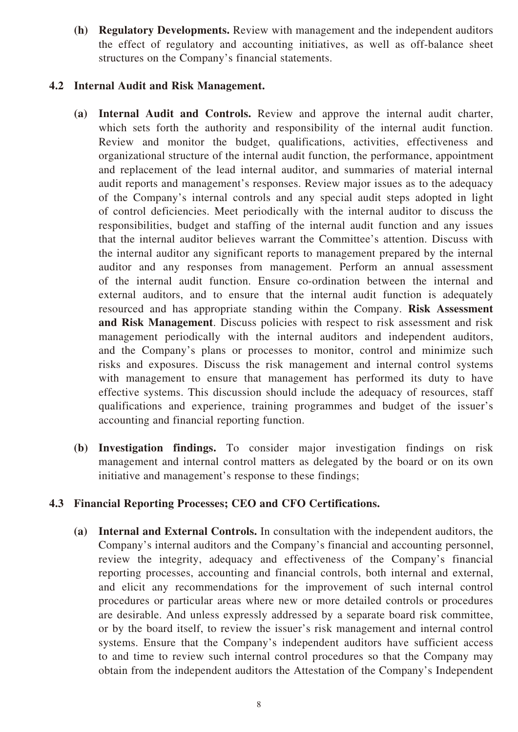**(h) Regulatory Developments.** Review with management and the independent auditors the effect of regulatory and accounting initiatives, as well as off-balance sheet structures on the Company's financial statements.

#### **4.2 Internal Audit and Risk Management.**

- **(a) Internal Audit and Controls.** Review and approve the internal audit charter, which sets forth the authority and responsibility of the internal audit function. Review and monitor the budget, qualifications, activities, effectiveness and organizational structure of the internal audit function, the performance, appointment and replacement of the lead internal auditor, and summaries of material internal audit reports and management's responses. Review major issues as to the adequacy of the Company's internal controls and any special audit steps adopted in light of control deficiencies. Meet periodically with the internal auditor to discuss the responsibilities, budget and staffing of the internal audit function and any issues that the internal auditor believes warrant the Committee's attention. Discuss with the internal auditor any significant reports to management prepared by the internal auditor and any responses from management. Perform an annual assessment of the internal audit function. Ensure co-ordination between the internal and external auditors, and to ensure that the internal audit function is adequately resourced and has appropriate standing within the Company. **Risk Assessment and Risk Management**. Discuss policies with respect to risk assessment and risk management periodically with the internal auditors and independent auditors, and the Company's plans or processes to monitor, control and minimize such risks and exposures. Discuss the risk management and internal control systems with management to ensure that management has performed its duty to have effective systems. This discussion should include the adequacy of resources, staff qualifications and experience, training programmes and budget of the issuer's accounting and financial reporting function.
- **(b) Investigation findings.** To consider major investigation findings on risk management and internal control matters as delegated by the board or on its own initiative and management's response to these findings;

#### **4.3 Financial Reporting Processes; CEO and CFO Certifications.**

**(a) Internal and External Controls.** In consultation with the independent auditors, the Company's internal auditors and the Company's financial and accounting personnel, review the integrity, adequacy and effectiveness of the Company's financial reporting processes, accounting and financial controls, both internal and external, and elicit any recommendations for the improvement of such internal control procedures or particular areas where new or more detailed controls or procedures are desirable. And unless expressly addressed by a separate board risk committee, or by the board itself, to review the issuer's risk management and internal control systems. Ensure that the Company's independent auditors have sufficient access to and time to review such internal control procedures so that the Company may obtain from the independent auditors the Attestation of the Company's Independent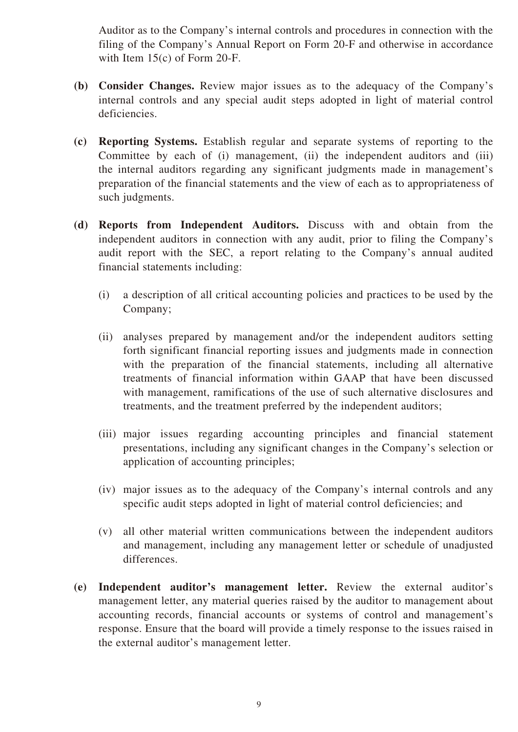Auditor as to the Company's internal controls and procedures in connection with the filing of the Company's Annual Report on Form 20-F and otherwise in accordance with Item 15(c) of Form 20-F.

- **(b) Consider Changes.** Review major issues as to the adequacy of the Company's internal controls and any special audit steps adopted in light of material control deficiencies.
- **(c) Reporting Systems.** Establish regular and separate systems of reporting to the Committee by each of (i) management, (ii) the independent auditors and (iii) the internal auditors regarding any significant judgments made in management's preparation of the financial statements and the view of each as to appropriateness of such judgments.
- **(d) Reports from Independent Auditors.** Discuss with and obtain from the independent auditors in connection with any audit, prior to filing the Company's audit report with the SEC, a report relating to the Company's annual audited financial statements including:
	- (i) a description of all critical accounting policies and practices to be used by the Company;
	- (ii) analyses prepared by management and/or the independent auditors setting forth significant financial reporting issues and judgments made in connection with the preparation of the financial statements, including all alternative treatments of financial information within GAAP that have been discussed with management, ramifications of the use of such alternative disclosures and treatments, and the treatment preferred by the independent auditors;
	- (iii) major issues regarding accounting principles and financial statement presentations, including any significant changes in the Company's selection or application of accounting principles;
	- (iv) major issues as to the adequacy of the Company's internal controls and any specific audit steps adopted in light of material control deficiencies; and
	- (v) all other material written communications between the independent auditors and management, including any management letter or schedule of unadjusted differences.
- **(e) Independent auditor's management letter.** Review the external auditor's management letter, any material queries raised by the auditor to management about accounting records, financial accounts or systems of control and management's response. Ensure that the board will provide a timely response to the issues raised in the external auditor's management letter.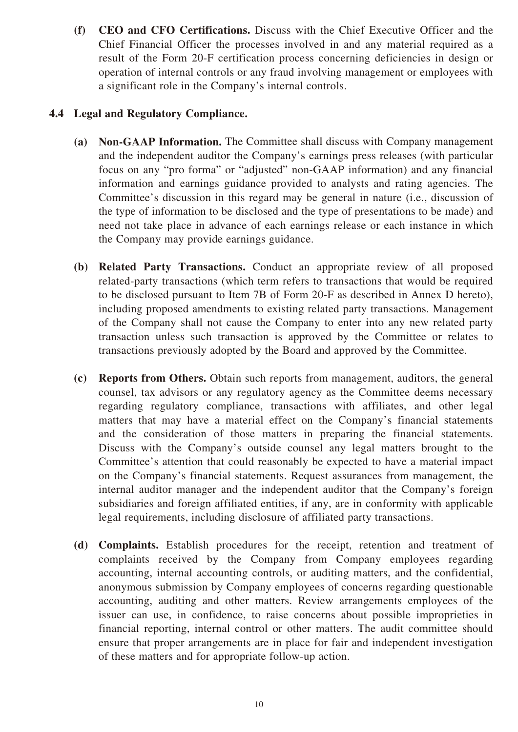**(f) CEO and CFO Certifications.** Discuss with the Chief Executive Officer and the Chief Financial Officer the processes involved in and any material required as a result of the Form 20-F certification process concerning deficiencies in design or operation of internal controls or any fraud involving management or employees with a significant role in the Company's internal controls.

#### **4.4 Legal and Regulatory Compliance.**

- **(a) Non-GAAP Information.** The Committee shall discuss with Company management and the independent auditor the Company's earnings press releases (with particular focus on any "pro forma" or "adjusted" non-GAAP information) and any financial information and earnings guidance provided to analysts and rating agencies. The Committee's discussion in this regard may be general in nature (i.e., discussion of the type of information to be disclosed and the type of presentations to be made) and need not take place in advance of each earnings release or each instance in which the Company may provide earnings guidance.
- **(b) Related Party Transactions.** Conduct an appropriate review of all proposed related-party transactions (which term refers to transactions that would be required to be disclosed pursuant to Item 7B of Form 20-F as described in Annex D hereto), including proposed amendments to existing related party transactions. Management of the Company shall not cause the Company to enter into any new related party transaction unless such transaction is approved by the Committee or relates to transactions previously adopted by the Board and approved by the Committee.
- **(c) Reports from Others.** Obtain such reports from management, auditors, the general counsel, tax advisors or any regulatory agency as the Committee deems necessary regarding regulatory compliance, transactions with affiliates, and other legal matters that may have a material effect on the Company's financial statements and the consideration of those matters in preparing the financial statements. Discuss with the Company's outside counsel any legal matters brought to the Committee's attention that could reasonably be expected to have a material impact on the Company's financial statements. Request assurances from management, the internal auditor manager and the independent auditor that the Company's foreign subsidiaries and foreign affiliated entities, if any, are in conformity with applicable legal requirements, including disclosure of affiliated party transactions.
- **(d) Complaints.** Establish procedures for the receipt, retention and treatment of complaints received by the Company from Company employees regarding accounting, internal accounting controls, or auditing matters, and the confidential, anonymous submission by Company employees of concerns regarding questionable accounting, auditing and other matters. Review arrangements employees of the issuer can use, in confidence, to raise concerns about possible improprieties in financial reporting, internal control or other matters. The audit committee should ensure that proper arrangements are in place for fair and independent investigation of these matters and for appropriate follow-up action.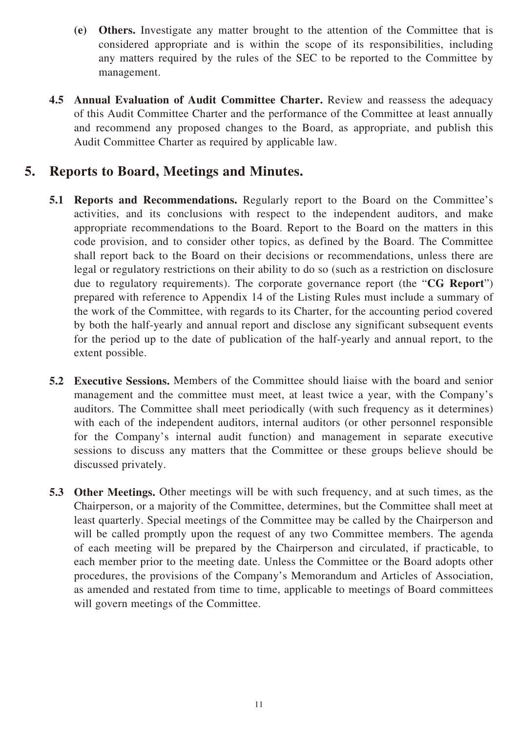- **(e) Others.** Investigate any matter brought to the attention of the Committee that is considered appropriate and is within the scope of its responsibilities, including any matters required by the rules of the SEC to be reported to the Committee by management.
- **4.5 Annual Evaluation of Audit Committee Charter.** Review and reassess the adequacy of this Audit Committee Charter and the performance of the Committee at least annually and recommend any proposed changes to the Board, as appropriate, and publish this Audit Committee Charter as required by applicable law.

### **5. Reports to Board, Meetings and Minutes.**

- **5.1 Reports and Recommendations.** Regularly report to the Board on the Committee's activities, and its conclusions with respect to the independent auditors, and make appropriate recommendations to the Board. Report to the Board on the matters in this code provision, and to consider other topics, as defined by the Board. The Committee shall report back to the Board on their decisions or recommendations, unless there are legal or regulatory restrictions on their ability to do so (such as a restriction on disclosure due to regulatory requirements). The corporate governance report (the "**CG Report**") prepared with reference to Appendix 14 of the Listing Rules must include a summary of the work of the Committee, with regards to its Charter, for the accounting period covered by both the half-yearly and annual report and disclose any significant subsequent events for the period up to the date of publication of the half-yearly and annual report, to the extent possible.
- **5.2 Executive Sessions.** Members of the Committee should liaise with the board and senior management and the committee must meet, at least twice a year, with the Company's auditors. The Committee shall meet periodically (with such frequency as it determines) with each of the independent auditors, internal auditors (or other personnel responsible for the Company's internal audit function) and management in separate executive sessions to discuss any matters that the Committee or these groups believe should be discussed privately.
- **5.3 Other Meetings.** Other meetings will be with such frequency, and at such times, as the Chairperson, or a majority of the Committee, determines, but the Committee shall meet at least quarterly. Special meetings of the Committee may be called by the Chairperson and will be called promptly upon the request of any two Committee members. The agenda of each meeting will be prepared by the Chairperson and circulated, if practicable, to each member prior to the meeting date. Unless the Committee or the Board adopts other procedures, the provisions of the Company's Memorandum and Articles of Association, as amended and restated from time to time, applicable to meetings of Board committees will govern meetings of the Committee.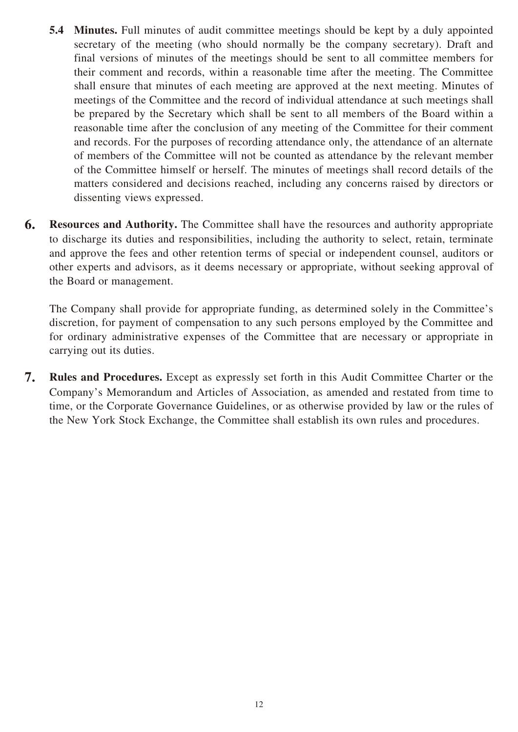- **5.4 Minutes.** Full minutes of audit committee meetings should be kept by a duly appointed secretary of the meeting (who should normally be the company secretary). Draft and final versions of minutes of the meetings should be sent to all committee members for their comment and records, within a reasonable time after the meeting. The Committee shall ensure that minutes of each meeting are approved at the next meeting. Minutes of meetings of the Committee and the record of individual attendance at such meetings shall be prepared by the Secretary which shall be sent to all members of the Board within a reasonable time after the conclusion of any meeting of the Committee for their comment and records. For the purposes of recording attendance only, the attendance of an alternate of members of the Committee will not be counted as attendance by the relevant member of the Committee himself or herself. The minutes of meetings shall record details of the matters considered and decisions reached, including any concerns raised by directors or dissenting views expressed.
- **6. Resources and Authority.** The Committee shall have the resources and authority appropriate to discharge its duties and responsibilities, including the authority to select, retain, terminate and approve the fees and other retention terms of special or independent counsel, auditors or other experts and advisors, as it deems necessary or appropriate, without seeking approval of the Board or management.

The Company shall provide for appropriate funding, as determined solely in the Committee's discretion, for payment of compensation to any such persons employed by the Committee and for ordinary administrative expenses of the Committee that are necessary or appropriate in carrying out its duties.

**7. Rules and Procedures.** Except as expressly set forth in this Audit Committee Charter or the Company's Memorandum and Articles of Association, as amended and restated from time to time, or the Corporate Governance Guidelines, or as otherwise provided by law or the rules of the New York Stock Exchange, the Committee shall establish its own rules and procedures.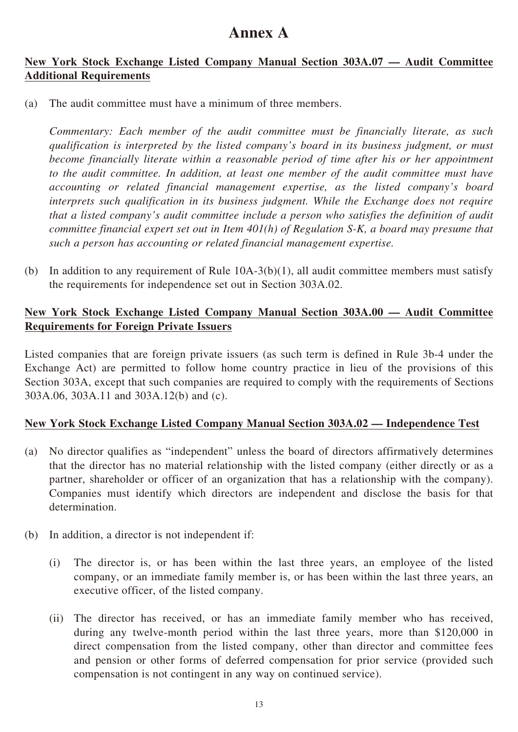### **Annex A**

#### **New York Stock Exchange Listed Company Manual Section 303A.07 — Audit Committee Additional Requirements**

(a) The audit committee must have a minimum of three members.

*Commentary: Each member of the audit committee must be financially literate, as such qualification is interpreted by the listed company's board in its business judgment, or must become financially literate within a reasonable period of time after his or her appointment to the audit committee. In addition, at least one member of the audit committee must have accounting or related financial management expertise, as the listed company's board interprets such qualification in its business judgment. While the Exchange does not require that a listed company's audit committee include a person who satisfies the definition of audit committee financial expert set out in Item 401(h) of Regulation S-K, a board may presume that such a person has accounting or related financial management expertise.*

(b) In addition to any requirement of Rule 10A-3(b)(1), all audit committee members must satisfy the requirements for independence set out in Section 303A.02.

#### **New York Stock Exchange Listed Company Manual Section 303A.00 — Audit Committee Requirements for Foreign Private Issuers**

Listed companies that are foreign private issuers (as such term is defined in Rule 3b-4 under the Exchange Act) are permitted to follow home country practice in lieu of the provisions of this Section 303A, except that such companies are required to comply with the requirements of Sections 303A.06, 303A.11 and 303A.12(b) and (c).

#### **New York Stock Exchange Listed Company Manual Section 303A.02 — Independence Test**

- (a) No director qualifies as "independent" unless the board of directors affirmatively determines that the director has no material relationship with the listed company (either directly or as a partner, shareholder or officer of an organization that has a relationship with the company). Companies must identify which directors are independent and disclose the basis for that determination.
- (b) In addition, a director is not independent if:
	- (i) The director is, or has been within the last three years, an employee of the listed company, or an immediate family member is, or has been within the last three years, an executive officer, of the listed company.
	- (ii) The director has received, or has an immediate family member who has received, during any twelve-month period within the last three years, more than \$120,000 in direct compensation from the listed company, other than director and committee fees and pension or other forms of deferred compensation for prior service (provided such compensation is not contingent in any way on continued service).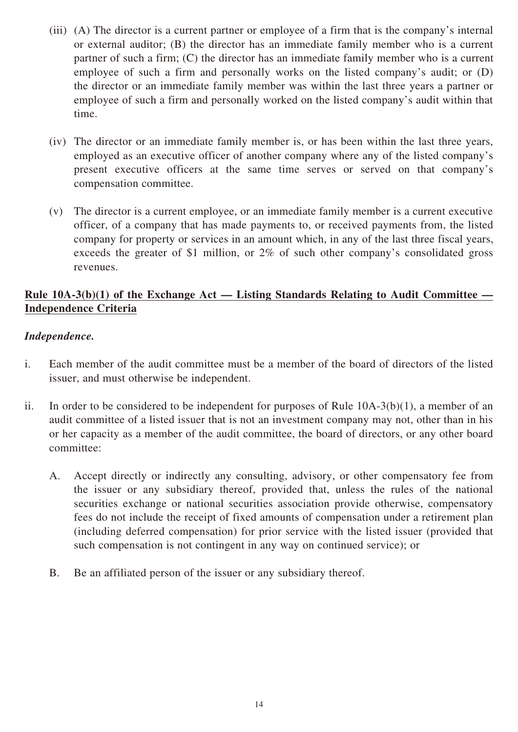- (iii) (A) The director is a current partner or employee of a firm that is the company's internal or external auditor; (B) the director has an immediate family member who is a current partner of such a firm; (C) the director has an immediate family member who is a current employee of such a firm and personally works on the listed company's audit; or (D) the director or an immediate family member was within the last three years a partner or employee of such a firm and personally worked on the listed company's audit within that time.
- (iv) The director or an immediate family member is, or has been within the last three years, employed as an executive officer of another company where any of the listed company's present executive officers at the same time serves or served on that company's compensation committee.
- (v) The director is a current employee, or an immediate family member is a current executive officer, of a company that has made payments to, or received payments from, the listed company for property or services in an amount which, in any of the last three fiscal years, exceeds the greater of \$1 million, or 2% of such other company's consolidated gross revenues.

#### **Rule 10A-3(b)(1) of the Exchange Act — Listing Standards Relating to Audit Committee — Independence Criteria**

#### *Independence.*

- i. Each member of the audit committee must be a member of the board of directors of the listed issuer, and must otherwise be independent.
- ii. In order to be considered to be independent for purposes of Rule 10A-3(b)(1), a member of an audit committee of a listed issuer that is not an investment company may not, other than in his or her capacity as a member of the audit committee, the board of directors, or any other board committee:
	- A. Accept directly or indirectly any consulting, advisory, or other compensatory fee from the issuer or any subsidiary thereof, provided that, unless the rules of the national securities exchange or national securities association provide otherwise, compensatory fees do not include the receipt of fixed amounts of compensation under a retirement plan (including deferred compensation) for prior service with the listed issuer (provided that such compensation is not contingent in any way on continued service); or
	- B. Be an affiliated person of the issuer or any subsidiary thereof.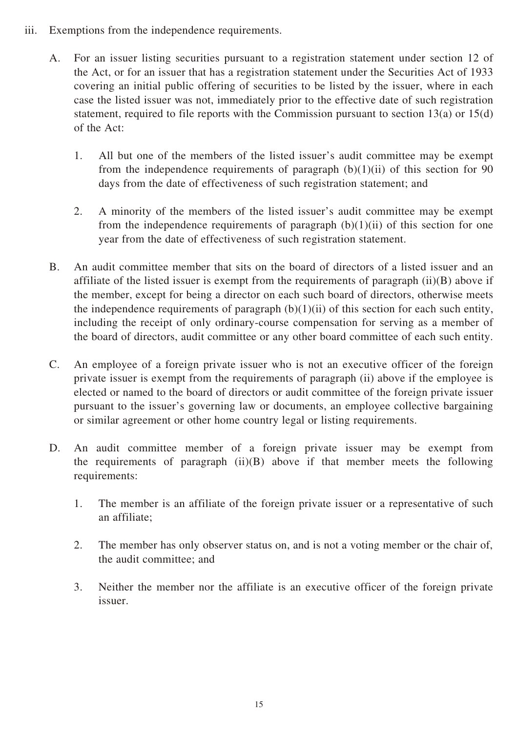- iii. Exemptions from the independence requirements.
	- A. For an issuer listing securities pursuant to a registration statement under section 12 of the Act, or for an issuer that has a registration statement under the Securities Act of 1933 covering an initial public offering of securities to be listed by the issuer, where in each case the listed issuer was not, immediately prior to the effective date of such registration statement, required to file reports with the Commission pursuant to section 13(a) or 15(d) of the Act:
		- 1. All but one of the members of the listed issuer's audit committee may be exempt from the independence requirements of paragraph  $(b)(1)(ii)$  of this section for 90 days from the date of effectiveness of such registration statement; and
		- 2. A minority of the members of the listed issuer's audit committee may be exempt from the independence requirements of paragraph  $(b)(1)(ii)$  of this section for one year from the date of effectiveness of such registration statement.
	- B. An audit committee member that sits on the board of directors of a listed issuer and an affiliate of the listed issuer is exempt from the requirements of paragraph (ii)(B) above if the member, except for being a director on each such board of directors, otherwise meets the independence requirements of paragraph  $(b)(1)(ii)$  of this section for each such entity, including the receipt of only ordinary-course compensation for serving as a member of the board of directors, audit committee or any other board committee of each such entity.
	- C. An employee of a foreign private issuer who is not an executive officer of the foreign private issuer is exempt from the requirements of paragraph (ii) above if the employee is elected or named to the board of directors or audit committee of the foreign private issuer pursuant to the issuer's governing law or documents, an employee collective bargaining or similar agreement or other home country legal or listing requirements.
	- D. An audit committee member of a foreign private issuer may be exempt from the requirements of paragraph  $(ii)(B)$  above if that member meets the following requirements:
		- 1. The member is an affiliate of the foreign private issuer or a representative of such an affiliate;
		- 2. The member has only observer status on, and is not a voting member or the chair of, the audit committee; and
		- 3. Neither the member nor the affiliate is an executive officer of the foreign private issuer.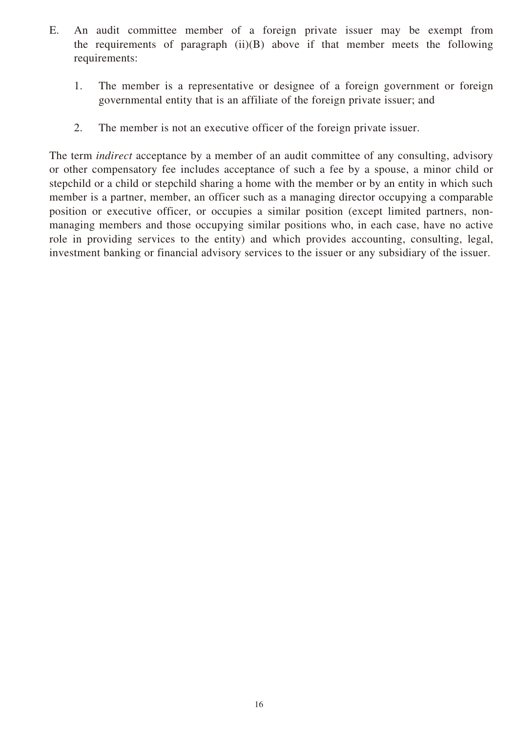- E. An audit committee member of a foreign private issuer may be exempt from the requirements of paragraph  $(ii)(B)$  above if that member meets the following requirements:
	- 1. The member is a representative or designee of a foreign government or foreign governmental entity that is an affiliate of the foreign private issuer; and
	- 2. The member is not an executive officer of the foreign private issuer.

The term *indirect* acceptance by a member of an audit committee of any consulting, advisory or other compensatory fee includes acceptance of such a fee by a spouse, a minor child or stepchild or a child or stepchild sharing a home with the member or by an entity in which such member is a partner, member, an officer such as a managing director occupying a comparable position or executive officer, or occupies a similar position (except limited partners, nonmanaging members and those occupying similar positions who, in each case, have no active role in providing services to the entity) and which provides accounting, consulting, legal, investment banking or financial advisory services to the issuer or any subsidiary of the issuer.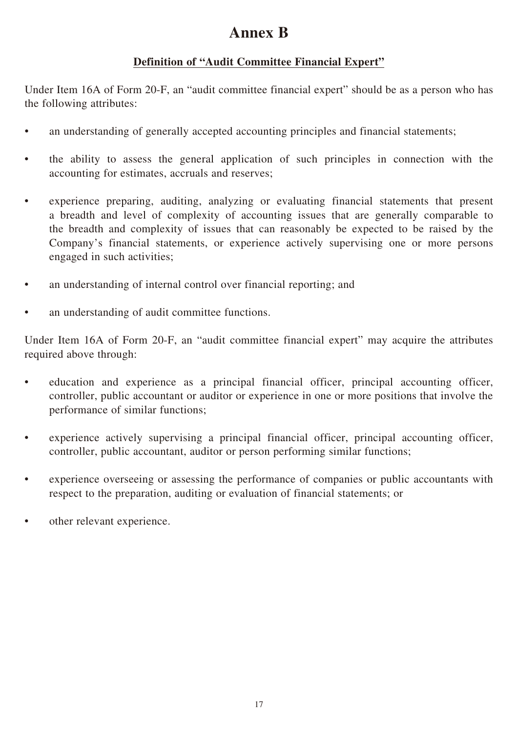## **Annex B**

#### **Definition of "Audit Committee Financial Expert"**

Under Item 16A of Form 20-F, an "audit committee financial expert" should be as a person who has the following attributes:

- an understanding of generally accepted accounting principles and financial statements;
- the ability to assess the general application of such principles in connection with the accounting for estimates, accruals and reserves;
- experience preparing, auditing, analyzing or evaluating financial statements that present a breadth and level of complexity of accounting issues that are generally comparable to the breadth and complexity of issues that can reasonably be expected to be raised by the Company's financial statements, or experience actively supervising one or more persons engaged in such activities;
- an understanding of internal control over financial reporting; and
- an understanding of audit committee functions.

Under Item 16A of Form 20-F, an "audit committee financial expert" may acquire the attributes required above through:

- education and experience as a principal financial officer, principal accounting officer, controller, public accountant or auditor or experience in one or more positions that involve the performance of similar functions;
- experience actively supervising a principal financial officer, principal accounting officer, controller, public accountant, auditor or person performing similar functions;
- experience overseeing or assessing the performance of companies or public accountants with respect to the preparation, auditing or evaluation of financial statements; or
- other relevant experience.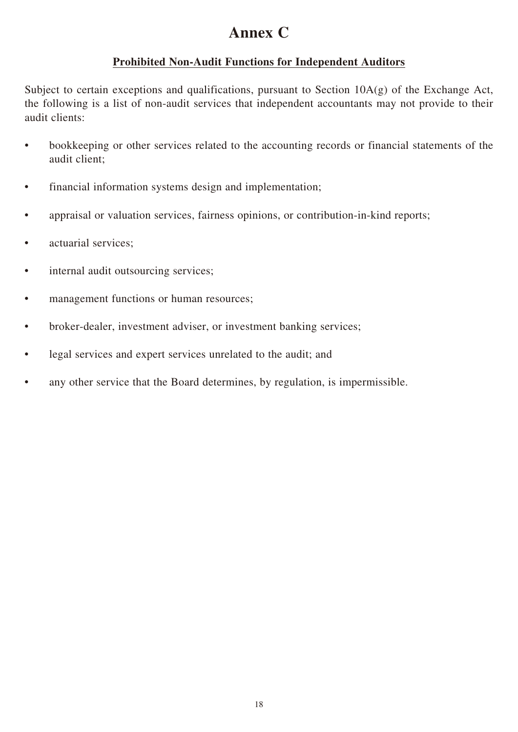## **Annex C**

#### **Prohibited Non-Audit Functions for Independent Auditors**

Subject to certain exceptions and qualifications, pursuant to Section 10A(g) of the Exchange Act, the following is a list of non-audit services that independent accountants may not provide to their audit clients:

- bookkeeping or other services related to the accounting records or financial statements of the audit client;
- financial information systems design and implementation;
- appraisal or valuation services, fairness opinions, or contribution-in-kind reports;
- actuarial services;
- internal audit outsourcing services;
- management functions or human resources;
- broker-dealer, investment adviser, or investment banking services;
- legal services and expert services unrelated to the audit; and
- any other service that the Board determines, by regulation, is impermissible.